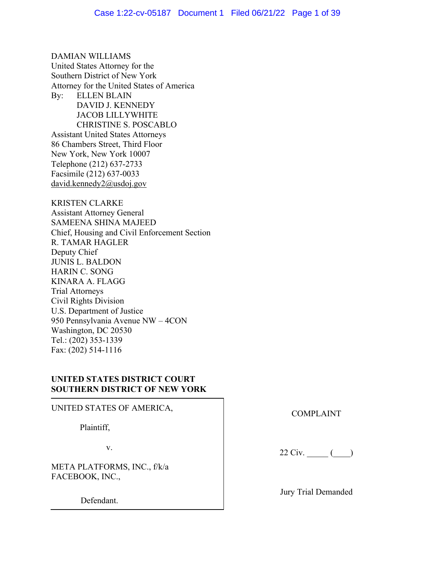DAMIAN WILLIAMS United States Attorney for the Southern District of New York Attorney for the United States of America By: ELLEN BLAIN DAVID J. KENNEDY JACOB LILLYWHITE CHRISTINE S. POSCABLO Assistant United States Attorneys 86 Chambers Street, Third Floor New York, New York 10007 Telephone (212) 637-2733 Facsimile (212) 637-0033 david.kennedy2@usdoj.gov

KRISTEN CLARKE Assistant Attorney General SAMEENA SHINA MAJEED Chief, Housing and Civil Enforcement Section R. TAMAR HAGLER Deputy Chief JUNIS L. BALDON HARIN C. SONG KINARA A. FLAGG Trial Attorneys Civil Rights Division U.S. Department of Justice 950 Pennsylvania Avenue NW – 4CON Washington, DC 20530 Tel.: (202) 353-1339 Fax: (202) 514-1116

# **UNITED STATES DISTRICT COURT SOUTHERN DISTRICT OF NEW YORK**

UNITED STATES OF AMERICA, Plaintiff, v. META PLATFORMS, INC., f/k/a FACEBOOK, INC., Defendant.

COMPLAINT

22 Civ. \_\_\_\_\_ (\_\_\_\_)

Jury Trial Demanded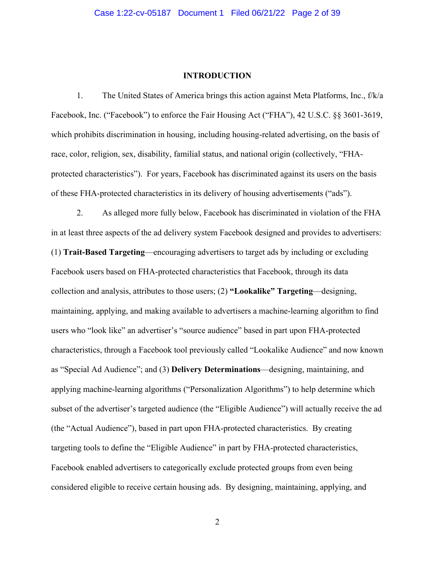#### **INTRODUCTION**

1. The United States of America brings this action against Meta Platforms, Inc., f/k/a Facebook, Inc. ("Facebook") to enforce the Fair Housing Act ("FHA"), 42 U.S.C. §§ 3601-3619, which prohibits discrimination in housing, including housing-related advertising, on the basis of race, color, religion, sex, disability, familial status, and national origin (collectively, "FHAprotected characteristics"). For years, Facebook has discriminated against its users on the basis of these FHA-protected characteristics in its delivery of housing advertisements ("ads").

2. As alleged more fully below, Facebook has discriminated in violation of the FHA in at least three aspects of the ad delivery system Facebook designed and provides to advertisers: (1) **Trait-Based Targeting**—encouraging advertisers to target ads by including or excluding Facebook users based on FHA-protected characteristics that Facebook, through its data collection and analysis, attributes to those users; (2) **"Lookalike" Targeting**—designing, maintaining, applying, and making available to advertisers a machine-learning algorithm to find users who "look like" an advertiser's "source audience" based in part upon FHA-protected characteristics, through a Facebook tool previously called "Lookalike Audience" and now known as "Special Ad Audience"; and (3) **Delivery Determinations**—designing, maintaining, and applying machine-learning algorithms ("Personalization Algorithms") to help determine which subset of the advertiser's targeted audience (the "Eligible Audience") will actually receive the ad (the "Actual Audience"), based in part upon FHA-protected characteristics. By creating targeting tools to define the "Eligible Audience" in part by FHA-protected characteristics, Facebook enabled advertisers to categorically exclude protected groups from even being considered eligible to receive certain housing ads. By designing, maintaining, applying, and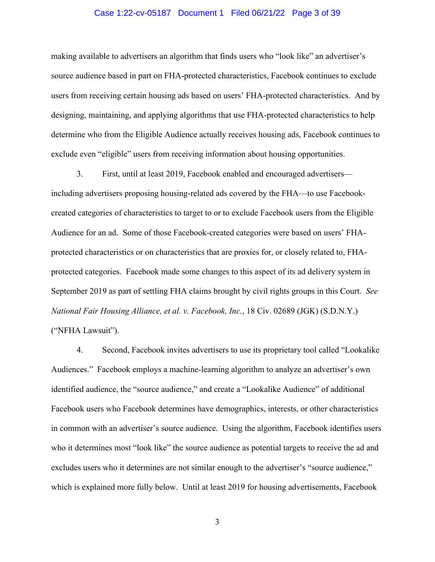## Case 1:22-cv-05187 Document 1 Filed 06/21/22 Page 3 of 39

making available to advertisers an algorithm that finds users who "look like" an advertiser's source audience based in part on FHA-protected characteristics, Facebook continues to exclude users from receiving certain housing ads based on users' FHA-protected characteristics. And by designing, maintaining, and applying algorithms that use FHA-protected characteristics to help determine who from the Eligible Audience actually receives housing ads, Facebook continues to exclude even "eligible" users from receiving information about housing opportunities.

3. First, until at least 2019, Facebook enabled and encouraged advertisers including advertisers proposing housing-related ads covered by the FHA—to use Facebookcreated categories of characteristics to target to or to exclude Facebook users from the Eligible Audience for an ad. Some of those Facebook-created categories were based on users' FHAprotected characteristics or on characteristics that are proxies for, or closely related to, FHAprotected categories. Facebook made some changes to this aspect of its ad delivery system in September 2019 as part of settling FHA claims brought by civil rights groups in this Court. *See National Fair Housing Alliance, et al. v. Facebook, Inc.*, 18 Civ. 02689 (JGK) (S.D.N.Y.) ("NFHA Lawsuit").

4. Second, Facebook invites advertisers to use its proprietary tool called "Lookalike Audiences." Facebook employs a machine-learning algorithm to analyze an advertiser's own identified audience, the "source audience," and create a "Lookalike Audience" of additional Facebook users who Facebook determines have demographics, interests, or other characteristics in common with an advertiser's source audience. Using the algorithm, Facebook identifies users who it determines most "look like" the source audience as potential targets to receive the ad and excludes users who it determines are not similar enough to the advertiser's "source audience," which is explained more fully below. Until at least 2019 for housing advertisements, Facebook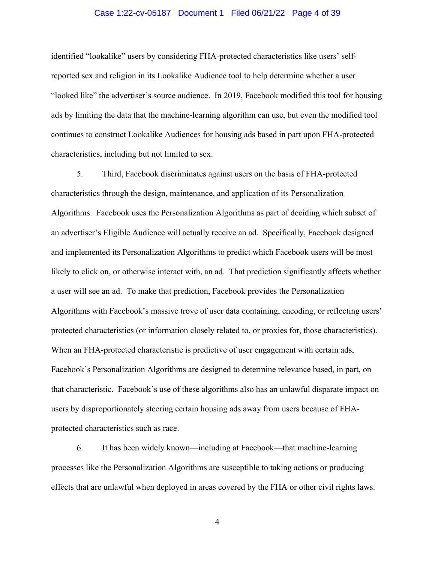## Case 1:22-cv-05187 Document 1 Filed 06/21/22 Page 4 of 39

identified "lookalike" users by considering FHA-protected characteristics like users' selfreported sex and religion in its Lookalike Audience tool to help determine whether a user "looked like" the advertiser's source audience. In 2019, Facebook modified this tool for housing ads by limiting the data that the machine-learning algorithm can use, but even the modified tool continues to construct Lookalike Audiences for housing ads based in part upon FHA-protected characteristics, including but not limited to sex.

5. Third, Facebook discriminates against users on the basis of FHA-protected characteristics through the design, maintenance, and application of its Personalization Algorithms. Facebook uses the Personalization Algorithms as part of deciding which subset of an advertiser's Eligible Audience will actually receive an ad. Specifically, Facebook designed and implemented its Personalization Algorithms to predict which Facebook users will be most likely to click on, or otherwise interact with, an ad. That prediction significantly affects whether a user will see an ad. To make that prediction, Facebook provides the Personalization Algorithms with Facebook's massive trove of user data containing, encoding, or reflecting users' protected characteristics (or information closely related to, or proxies for, those characteristics). When an FHA-protected characteristic is predictive of user engagement with certain ads, Facebook's Personalization Algorithms are designed to determine relevance based, in part, on that characteristic. Facebook's use of these algorithms also has an unlawful disparate impact on users by disproportionately steering certain housing ads away from users because of FHAprotected characteristics such as race.

6. It has been widely known—including at Facebook—that machine-learning processes like the Personalization Algorithms are susceptible to taking actions or producing effects that are unlawful when deployed in areas covered by the FHA or other civil rights laws.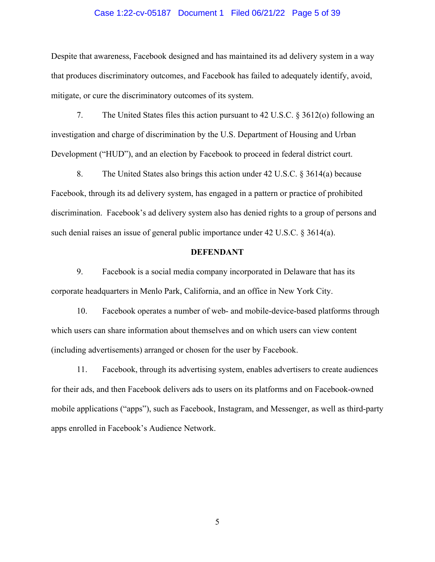#### Case 1:22-cv-05187 Document 1 Filed 06/21/22 Page 5 of 39

Despite that awareness, Facebook designed and has maintained its ad delivery system in a way that produces discriminatory outcomes, and Facebook has failed to adequately identify, avoid, mitigate, or cure the discriminatory outcomes of its system.

7. The United States files this action pursuant to 42 U.S.C. § 3612(o) following an investigation and charge of discrimination by the U.S. Department of Housing and Urban Development ("HUD"), and an election by Facebook to proceed in federal district court.

8. The United States also brings this action under 42 U.S.C. § 3614(a) because Facebook, through its ad delivery system, has engaged in a pattern or practice of prohibited discrimination. Facebook's ad delivery system also has denied rights to a group of persons and such denial raises an issue of general public importance under 42 U.S.C. § 3614(a).

#### **DEFENDANT**

9. Facebook is a social media company incorporated in Delaware that has its corporate headquarters in Menlo Park, California, and an office in New York City.

10. Facebook operates a number of web- and mobile-device-based platforms through which users can share information about themselves and on which users can view content (including advertisements) arranged or chosen for the user by Facebook.

11. Facebook, through its advertising system, enables advertisers to create audiences for their ads, and then Facebook delivers ads to users on its platforms and on Facebook-owned mobile applications ("apps"), such as Facebook, Instagram, and Messenger, as well as third-party apps enrolled in Facebook's Audience Network.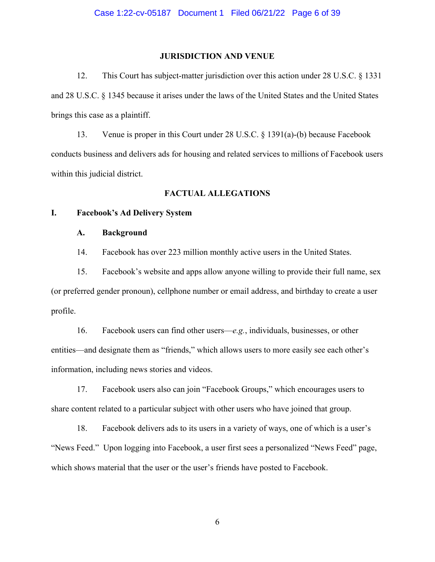#### **JURISDICTION AND VENUE**

12. This Court has subject-matter jurisdiction over this action under 28 U.S.C. § 1331 and 28 U.S.C. § 1345 because it arises under the laws of the United States and the United States brings this case as a plaintiff.

13. Venue is proper in this Court under 28 U.S.C. § 1391(a)-(b) because Facebook conducts business and delivers ads for housing and related services to millions of Facebook users within this judicial district.

## **FACTUAL ALLEGATIONS**

## **I. Facebook's Ad Delivery System**

## **A. Background**

14. Facebook has over 223 million monthly active users in the United States.

15. Facebook's website and apps allow anyone willing to provide their full name, sex (or preferred gender pronoun), cellphone number or email address, and birthday to create a user profile.

16. Facebook users can find other users—*e.g.*, individuals, businesses, or other entities—and designate them as "friends," which allows users to more easily see each other's information, including news stories and videos.

17. Facebook users also can join "Facebook Groups," which encourages users to share content related to a particular subject with other users who have joined that group.

18. Facebook delivers ads to its users in a variety of ways, one of which is a user's "News Feed." Upon logging into Facebook, a user first sees a personalized "News Feed" page, which shows material that the user or the user's friends have posted to Facebook.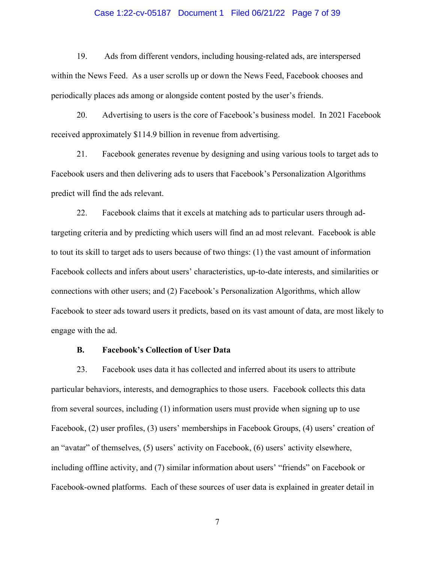## Case 1:22-cv-05187 Document 1 Filed 06/21/22 Page 7 of 39

19. Ads from different vendors, including housing-related ads, are interspersed within the News Feed. As a user scrolls up or down the News Feed, Facebook chooses and periodically places ads among or alongside content posted by the user's friends.

20. Advertising to users is the core of Facebook's business model. In 2021 Facebook received approximately \$114.9 billion in revenue from advertising.

21. Facebook generates revenue by designing and using various tools to target ads to Facebook users and then delivering ads to users that Facebook's Personalization Algorithms predict will find the ads relevant.

22. Facebook claims that it excels at matching ads to particular users through adtargeting criteria and by predicting which users will find an ad most relevant. Facebook is able to tout its skill to target ads to users because of two things: (1) the vast amount of information Facebook collects and infers about users' characteristics, up-to-date interests, and similarities or connections with other users; and (2) Facebook's Personalization Algorithms, which allow Facebook to steer ads toward users it predicts, based on its vast amount of data, are most likely to engage with the ad.

## **B. Facebook's Collection of User Data**

23. Facebook uses data it has collected and inferred about its users to attribute particular behaviors, interests, and demographics to those users. Facebook collects this data from several sources, including (1) information users must provide when signing up to use Facebook, (2) user profiles, (3) users' memberships in Facebook Groups, (4) users' creation of an "avatar" of themselves, (5) users' activity on Facebook, (6) users' activity elsewhere, including offline activity, and (7) similar information about users' "friends" on Facebook or Facebook-owned platforms. Each of these sources of user data is explained in greater detail in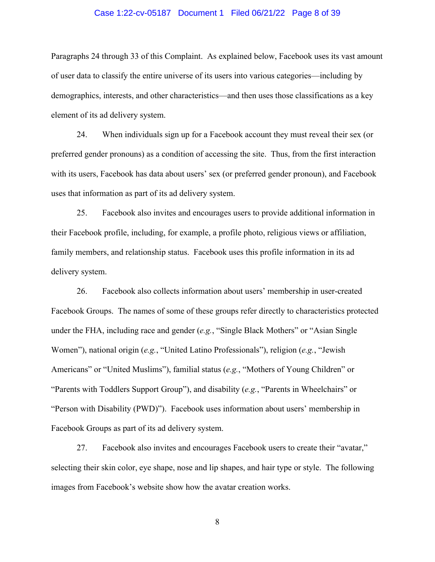## Case 1:22-cv-05187 Document 1 Filed 06/21/22 Page 8 of 39

Paragraphs 24 through 33 of this Complaint. As explained below, Facebook uses its vast amount of user data to classify the entire universe of its users into various categories—including by demographics, interests, and other characteristics—and then uses those classifications as a key element of its ad delivery system.

24. When individuals sign up for a Facebook account they must reveal their sex (or preferred gender pronouns) as a condition of accessing the site. Thus, from the first interaction with its users, Facebook has data about users' sex (or preferred gender pronoun), and Facebook uses that information as part of its ad delivery system.

25. Facebook also invites and encourages users to provide additional information in their Facebook profile, including, for example, a profile photo, religious views or affiliation, family members, and relationship status. Facebook uses this profile information in its ad delivery system.

26. Facebook also collects information about users' membership in user-created Facebook Groups. The names of some of these groups refer directly to characteristics protected under the FHA, including race and gender (*e.g.*, "Single Black Mothers" or "Asian Single Women"), national origin (*e.g.*, "United Latino Professionals"), religion (*e.g.*, "Jewish Americans" or "United Muslims"), familial status (*e.g.*, "Mothers of Young Children" or "Parents with Toddlers Support Group"), and disability (*e.g.*, "Parents in Wheelchairs" or "Person with Disability (PWD)"). Facebook uses information about users' membership in Facebook Groups as part of its ad delivery system.

27. Facebook also invites and encourages Facebook users to create their "avatar," selecting their skin color, eye shape, nose and lip shapes, and hair type or style. The following images from Facebook's website show how the avatar creation works.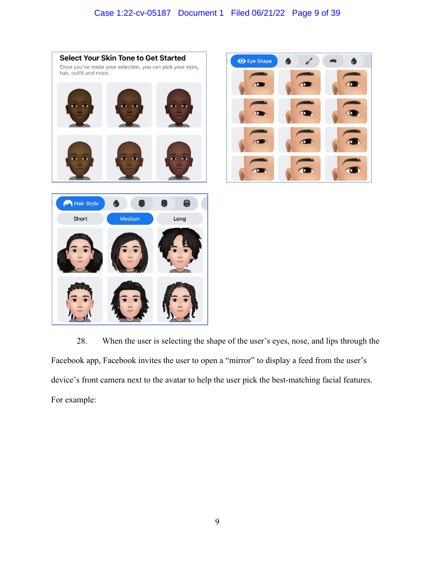





28. When the user is selecting the shape of the user's eyes, nose, and lips through the Facebook app, Facebook invites the user to open a "mirror" to display a feed from the user's device's front camera next to the avatar to help the user pick the best-matching facial features. For example: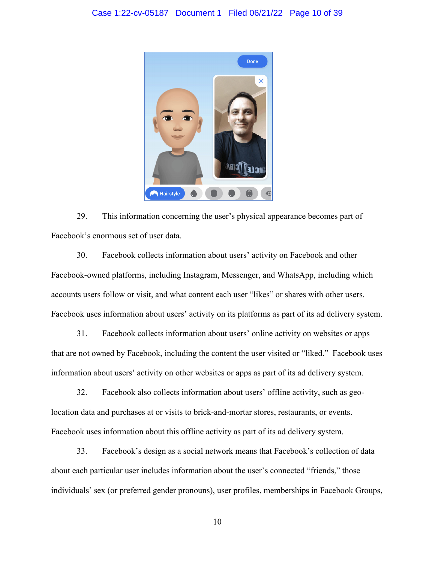

29. This information concerning the user's physical appearance becomes part of Facebook's enormous set of user data.

30. Facebook collects information about users' activity on Facebook and other Facebook-owned platforms, including Instagram, Messenger, and WhatsApp, including which accounts users follow or visit, and what content each user "likes" or shares with other users. Facebook uses information about users' activity on its platforms as part of its ad delivery system.

31. Facebook collects information about users' online activity on websites or apps that are not owned by Facebook, including the content the user visited or "liked." Facebook uses information about users' activity on other websites or apps as part of its ad delivery system.

32. Facebook also collects information about users' offline activity, such as geolocation data and purchases at or visits to brick-and-mortar stores, restaurants, or events. Facebook uses information about this offline activity as part of its ad delivery system.

33. Facebook's design as a social network means that Facebook's collection of data about each particular user includes information about the user's connected "friends," those individuals' sex (or preferred gender pronouns), user profiles, memberships in Facebook Groups,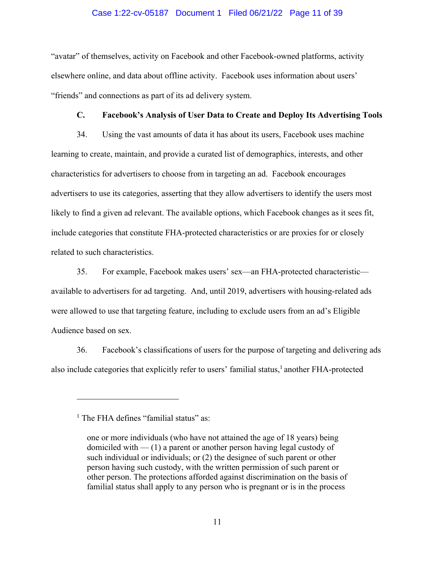## Case 1:22-cv-05187 Document 1 Filed 06/21/22 Page 11 of 39

"avatar" of themselves, activity on Facebook and other Facebook-owned platforms, activity elsewhere online, and data about offline activity. Facebook uses information about users' "friends" and connections as part of its ad delivery system.

## **C. Facebook's Analysis of User Data to Create and Deploy Its Advertising Tools**

34. Using the vast amounts of data it has about its users, Facebook uses machine learning to create, maintain, and provide a curated list of demographics, interests, and other characteristics for advertisers to choose from in targeting an ad. Facebook encourages advertisers to use its categories, asserting that they allow advertisers to identify the users most likely to find a given ad relevant. The available options, which Facebook changes as it sees fit, include categories that constitute FHA-protected characteristics or are proxies for or closely related to such characteristics.

35. For example, Facebook makes users' sex—an FHA-protected characteristic available to advertisers for ad targeting. And, until 2019, advertisers with housing-related ads were allowed to use that targeting feature, including to exclude users from an ad's Eligible Audience based on sex.

36. Facebook's classifications of users for the purpose of targeting and delivering ads also include categories that explicitly refer to users' familial status,<sup>1</sup> another FHA-protected

<sup>&</sup>lt;sup>1</sup> The FHA defines "familial status" as:

one or more individuals (who have not attained the age of 18 years) being domiciled with  $-$  (1) a parent or another person having legal custody of such individual or individuals; or (2) the designee of such parent or other person having such custody, with the written permission of such parent or other person. The protections afforded against discrimination on the basis of familial status shall apply to any person who is pregnant or is in the process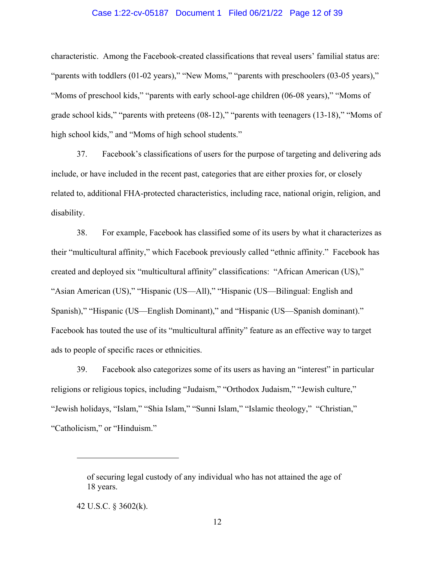## Case 1:22-cv-05187 Document 1 Filed 06/21/22 Page 12 of 39

characteristic. Among the Facebook-created classifications that reveal users' familial status are: "parents with toddlers (01-02 years)," "New Moms," "parents with preschoolers (03-05 years)," "Moms of preschool kids," "parents with early school-age children (06-08 years)," "Moms of grade school kids," "parents with preteens (08-12)," "parents with teenagers (13-18)," "Moms of high school kids," and "Moms of high school students."

37. Facebook's classifications of users for the purpose of targeting and delivering ads include, or have included in the recent past, categories that are either proxies for, or closely related to, additional FHA-protected characteristics, including race, national origin, religion, and disability.

38. For example, Facebook has classified some of its users by what it characterizes as their "multicultural affinity," which Facebook previously called "ethnic affinity." Facebook has created and deployed six "multicultural affinity" classifications: "African American (US)," "Asian American (US)," "Hispanic (US—All)," "Hispanic (US—Bilingual: English and Spanish)," "Hispanic (US—English Dominant)," and "Hispanic (US—Spanish dominant)." Facebook has touted the use of its "multicultural affinity" feature as an effective way to target ads to people of specific races or ethnicities.

39. Facebook also categorizes some of its users as having an "interest" in particular religions or religious topics, including "Judaism," "Orthodox Judaism," "Jewish culture," "Jewish holidays, "Islam," "Shia Islam," "Sunni Islam," "Islamic theology," "Christian," "Catholicism," or "Hinduism."

of securing legal custody of any individual who has not attained the age of 18 years.

<sup>42</sup> U.S.C. § 3602(k).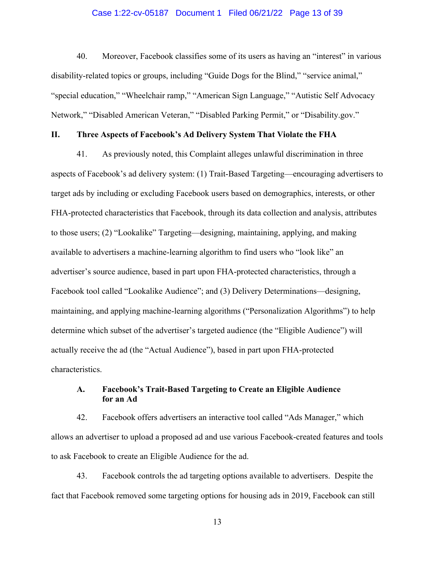## Case 1:22-cv-05187 Document 1 Filed 06/21/22 Page 13 of 39

40. Moreover, Facebook classifies some of its users as having an "interest" in various disability-related topics or groups, including "Guide Dogs for the Blind," "service animal," "special education," "Wheelchair ramp," "American Sign Language," "Autistic Self Advocacy Network," "Disabled American Veteran," "Disabled Parking Permit," or "Disability.gov."

## **II. Three Aspects of Facebook's Ad Delivery System That Violate the FHA**

41. As previously noted, this Complaint alleges unlawful discrimination in three aspects of Facebook's ad delivery system: (1) Trait-Based Targeting—encouraging advertisers to target ads by including or excluding Facebook users based on demographics, interests, or other FHA-protected characteristics that Facebook, through its data collection and analysis, attributes to those users; (2) "Lookalike" Targeting—designing, maintaining, applying, and making available to advertisers a machine-learning algorithm to find users who "look like" an advertiser's source audience, based in part upon FHA-protected characteristics, through a Facebook tool called "Lookalike Audience"; and (3) Delivery Determinations—designing, maintaining, and applying machine-learning algorithms ("Personalization Algorithms") to help determine which subset of the advertiser's targeted audience (the "Eligible Audience") will actually receive the ad (the "Actual Audience"), based in part upon FHA-protected characteristics.

# **A. Facebook's Trait-Based Targeting to Create an Eligible Audience for an Ad**

42. Facebook offers advertisers an interactive tool called "Ads Manager," which allows an advertiser to upload a proposed ad and use various Facebook-created features and tools to ask Facebook to create an Eligible Audience for the ad.

43. Facebook controls the ad targeting options available to advertisers. Despite the fact that Facebook removed some targeting options for housing ads in 2019, Facebook can still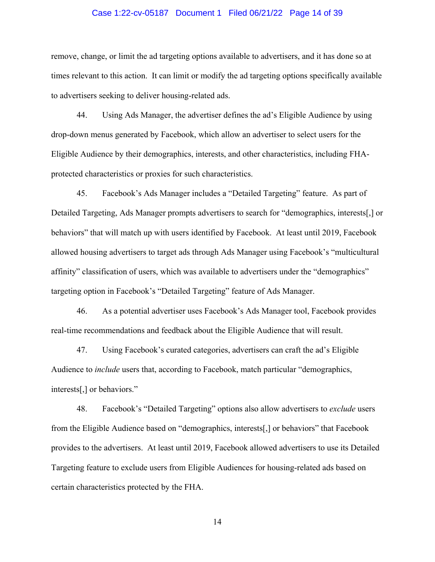## Case 1:22-cv-05187 Document 1 Filed 06/21/22 Page 14 of 39

remove, change, or limit the ad targeting options available to advertisers, and it has done so at times relevant to this action. It can limit or modify the ad targeting options specifically available to advertisers seeking to deliver housing-related ads.

44. Using Ads Manager, the advertiser defines the ad's Eligible Audience by using drop-down menus generated by Facebook, which allow an advertiser to select users for the Eligible Audience by their demographics, interests, and other characteristics, including FHAprotected characteristics or proxies for such characteristics.

45. Facebook's Ads Manager includes a "Detailed Targeting" feature. As part of Detailed Targeting, Ads Manager prompts advertisers to search for "demographics, interests[,] or behaviors" that will match up with users identified by Facebook. At least until 2019, Facebook allowed housing advertisers to target ads through Ads Manager using Facebook's "multicultural affinity" classification of users, which was available to advertisers under the "demographics" targeting option in Facebook's "Detailed Targeting" feature of Ads Manager.

46. As a potential advertiser uses Facebook's Ads Manager tool, Facebook provides real-time recommendations and feedback about the Eligible Audience that will result.

47. Using Facebook's curated categories, advertisers can craft the ad's Eligible Audience to *include* users that, according to Facebook, match particular "demographics, interests[,] or behaviors."

48. Facebook's "Detailed Targeting" options also allow advertisers to *exclude* users from the Eligible Audience based on "demographics, interests[,] or behaviors" that Facebook provides to the advertisers. At least until 2019, Facebook allowed advertisers to use its Detailed Targeting feature to exclude users from Eligible Audiences for housing-related ads based on certain characteristics protected by the FHA.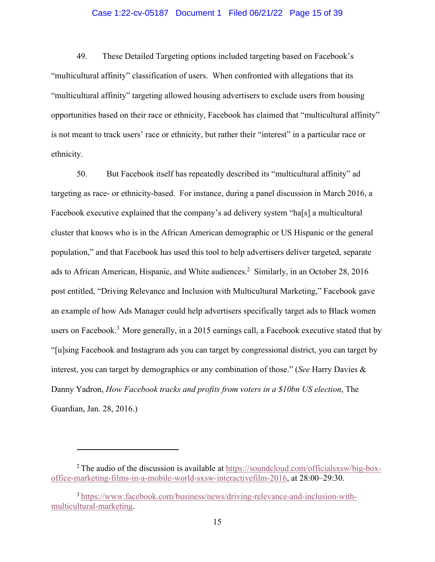## Case 1:22-cv-05187 Document 1 Filed 06/21/22 Page 15 of 39

49. These Detailed Targeting options included targeting based on Facebook's "multicultural affinity" classification of users. When confronted with allegations that its "multicultural affinity" targeting allowed housing advertisers to exclude users from housing opportunities based on their race or ethnicity, Facebook has claimed that "multicultural affinity" is not meant to track users' race or ethnicity, but rather their "interest" in a particular race or ethnicity.

50. But Facebook itself has repeatedly described its "multicultural affinity" ad targeting as race- or ethnicity-based. For instance, during a panel discussion in March 2016, a Facebook executive explained that the company's ad delivery system "ha[s] a multicultural cluster that knows who is in the African American demographic or US Hispanic or the general population," and that Facebook has used this tool to help advertisers deliver targeted, separate ads to African American, Hispanic, and White audiences.<sup>2</sup> Similarly, in an October 28, 2016 post entitled, "Driving Relevance and Inclusion with Multicultural Marketing," Facebook gave an example of how Ads Manager could help advertisers specifically target ads to Black women users on Facebook.<sup>3</sup> More generally, in a 2015 earnings call, a Facebook executive stated that by "[u]sing Facebook and Instagram ads you can target by congressional district, you can target by interest, you can target by demographics or any combination of those." (*See* Harry Davies & Danny Yadron, *How Facebook tracks and profits from voters in a \$10bn US election*, The Guardian, Jan. 28, 2016.)

<sup>&</sup>lt;sup>2</sup> The audio of the discussion is available at https://soundcloud.com/officialsxsw/big-boxoffice-marketing-films-in-a-mobile-world-sxsw-interactivefilm-2016, at 28:00–29:30.

<sup>3</sup> https://www.facebook.com/business/news/driving-relevance-and-inclusion-withmulticultural-marketing.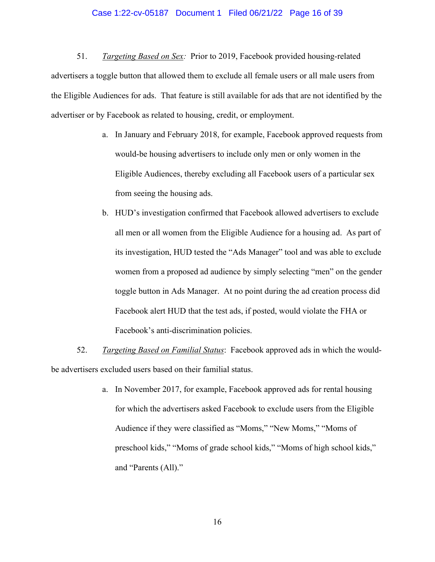## Case 1:22-cv-05187 Document 1 Filed 06/21/22 Page 16 of 39

51. *Targeting Based on Sex:* Prior to 2019, Facebook provided housing-related advertisers a toggle button that allowed them to exclude all female users or all male users from the Eligible Audiences for ads. That feature is still available for ads that are not identified by the advertiser or by Facebook as related to housing, credit, or employment.

- a. In January and February 2018, for example, Facebook approved requests from would-be housing advertisers to include only men or only women in the Eligible Audiences, thereby excluding all Facebook users of a particular sex from seeing the housing ads.
- b. HUD's investigation confirmed that Facebook allowed advertisers to exclude all men or all women from the Eligible Audience for a housing ad. As part of its investigation, HUD tested the "Ads Manager" tool and was able to exclude women from a proposed ad audience by simply selecting "men" on the gender toggle button in Ads Manager. At no point during the ad creation process did Facebook alert HUD that the test ads, if posted, would violate the FHA or Facebook's anti-discrimination policies.

52. *Targeting Based on Familial Status*: Facebook approved ads in which the wouldbe advertisers excluded users based on their familial status.

> a. In November 2017, for example, Facebook approved ads for rental housing for which the advertisers asked Facebook to exclude users from the Eligible Audience if they were classified as "Moms," "New Moms," "Moms of preschool kids," "Moms of grade school kids," "Moms of high school kids," and "Parents (All)."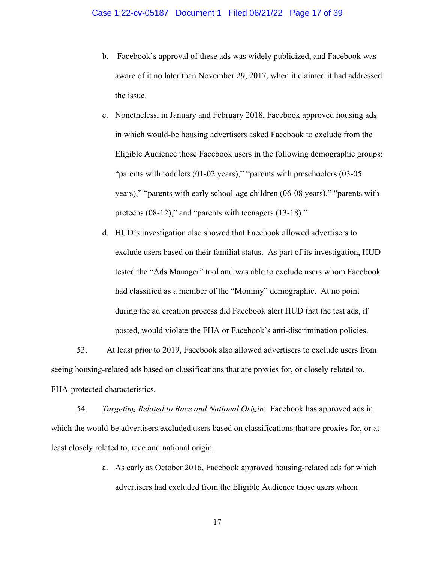- b. Facebook's approval of these ads was widely publicized, and Facebook was aware of it no later than November 29, 2017, when it claimed it had addressed the issue.
- c. Nonetheless, in January and February 2018, Facebook approved housing ads in which would-be housing advertisers asked Facebook to exclude from the Eligible Audience those Facebook users in the following demographic groups: "parents with toddlers (01-02 years)," "parents with preschoolers (03-05 years)," "parents with early school-age children (06-08 years)," "parents with preteens (08-12)," and "parents with teenagers (13-18)."
- d. HUD's investigation also showed that Facebook allowed advertisers to exclude users based on their familial status. As part of its investigation, HUD tested the "Ads Manager" tool and was able to exclude users whom Facebook had classified as a member of the "Mommy" demographic. At no point during the ad creation process did Facebook alert HUD that the test ads, if posted, would violate the FHA or Facebook's anti-discrimination policies.

53. At least prior to 2019, Facebook also allowed advertisers to exclude users from seeing housing-related ads based on classifications that are proxies for, or closely related to, FHA-protected characteristics.

54. *Targeting Related to Race and National Origin*: Facebook has approved ads in which the would-be advertisers excluded users based on classifications that are proxies for, or at least closely related to, race and national origin.

> a. As early as October 2016, Facebook approved housing-related ads for which advertisers had excluded from the Eligible Audience those users whom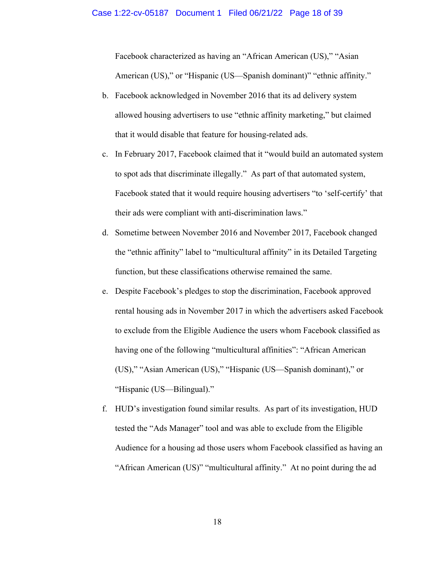#### Case 1:22-cv-05187 Document 1 Filed 06/21/22 Page 18 of 39

Facebook characterized as having an "African American (US)," "Asian American (US)," or "Hispanic (US—Spanish dominant)" "ethnic affinity."

- b. Facebook acknowledged in November 2016 that its ad delivery system allowed housing advertisers to use "ethnic affinity marketing," but claimed that it would disable that feature for housing-related ads.
- c. In February 2017, Facebook claimed that it "would build an automated system to spot ads that discriminate illegally." As part of that automated system, Facebook stated that it would require housing advertisers "to 'self-certify' that their ads were compliant with anti-discrimination laws."
- d. Sometime between November 2016 and November 2017, Facebook changed the "ethnic affinity" label to "multicultural affinity" in its Detailed Targeting function, but these classifications otherwise remained the same.
- e. Despite Facebook's pledges to stop the discrimination, Facebook approved rental housing ads in November 2017 in which the advertisers asked Facebook to exclude from the Eligible Audience the users whom Facebook classified as having one of the following "multicultural affinities": "African American (US)," "Asian American (US)," "Hispanic (US—Spanish dominant)," or "Hispanic (US—Bilingual)."
- f. HUD's investigation found similar results. As part of its investigation, HUD tested the "Ads Manager" tool and was able to exclude from the Eligible Audience for a housing ad those users whom Facebook classified as having an "African American (US)" "multicultural affinity." At no point during the ad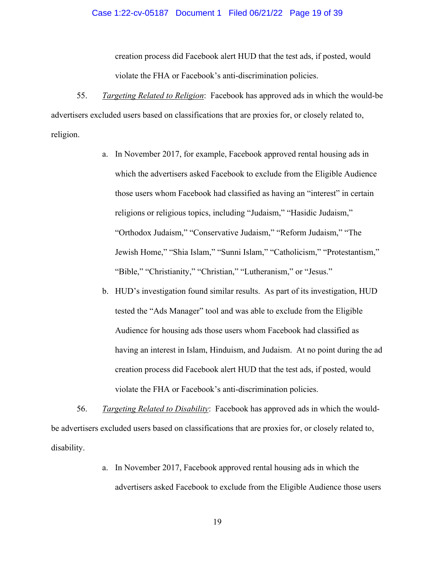#### Case 1:22-cv-05187 Document 1 Filed 06/21/22 Page 19 of 39

creation process did Facebook alert HUD that the test ads, if posted, would violate the FHA or Facebook's anti-discrimination policies.

55. *Targeting Related to Religion*: Facebook has approved ads in which the would-be advertisers excluded users based on classifications that are proxies for, or closely related to, religion.

- a. In November 2017, for example, Facebook approved rental housing ads in which the advertisers asked Facebook to exclude from the Eligible Audience those users whom Facebook had classified as having an "interest" in certain religions or religious topics, including "Judaism," "Hasidic Judaism," "Orthodox Judaism," "Conservative Judaism," "Reform Judaism," "The Jewish Home," "Shia Islam," "Sunni Islam," "Catholicism," "Protestantism," "Bible," "Christianity," "Christian," "Lutheranism," or "Jesus."
- b. HUD's investigation found similar results. As part of its investigation, HUD tested the "Ads Manager" tool and was able to exclude from the Eligible Audience for housing ads those users whom Facebook had classified as having an interest in Islam, Hinduism, and Judaism. At no point during the ad creation process did Facebook alert HUD that the test ads, if posted, would violate the FHA or Facebook's anti-discrimination policies.

56. *Targeting Related to Disability*: Facebook has approved ads in which the wouldbe advertisers excluded users based on classifications that are proxies for, or closely related to, disability.

> a. In November 2017, Facebook approved rental housing ads in which the advertisers asked Facebook to exclude from the Eligible Audience those users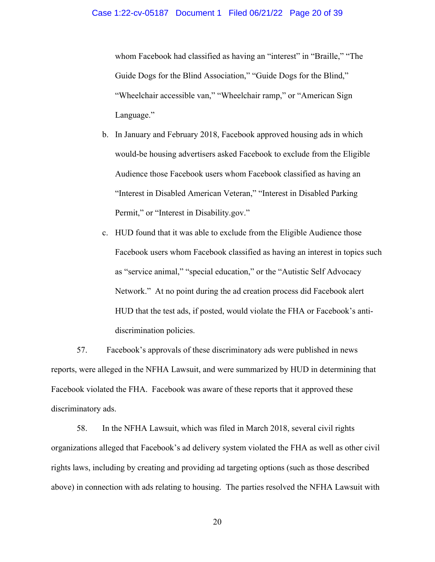whom Facebook had classified as having an "interest" in "Braille," "The Guide Dogs for the Blind Association," "Guide Dogs for the Blind," "Wheelchair accessible van," "Wheelchair ramp," or "American Sign Language."

- b. In January and February 2018, Facebook approved housing ads in which would-be housing advertisers asked Facebook to exclude from the Eligible Audience those Facebook users whom Facebook classified as having an "Interest in Disabled American Veteran," "Interest in Disabled Parking Permit," or "Interest in Disability.gov."
- c. HUD found that it was able to exclude from the Eligible Audience those Facebook users whom Facebook classified as having an interest in topics such as "service animal," "special education," or the "Autistic Self Advocacy Network." At no point during the ad creation process did Facebook alert HUD that the test ads, if posted, would violate the FHA or Facebook's antidiscrimination policies.

57. Facebook's approvals of these discriminatory ads were published in news reports, were alleged in the NFHA Lawsuit, and were summarized by HUD in determining that Facebook violated the FHA. Facebook was aware of these reports that it approved these discriminatory ads.

58. In the NFHA Lawsuit, which was filed in March 2018, several civil rights organizations alleged that Facebook's ad delivery system violated the FHA as well as other civil rights laws, including by creating and providing ad targeting options (such as those described above) in connection with ads relating to housing. The parties resolved the NFHA Lawsuit with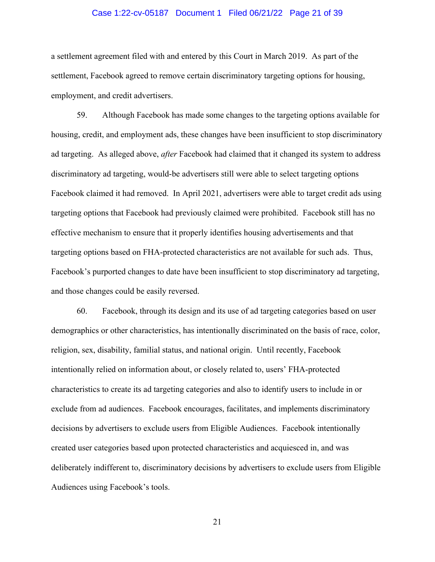## Case 1:22-cv-05187 Document 1 Filed 06/21/22 Page 21 of 39

a settlement agreement filed with and entered by this Court in March 2019. As part of the settlement, Facebook agreed to remove certain discriminatory targeting options for housing, employment, and credit advertisers.

59. Although Facebook has made some changes to the targeting options available for housing, credit, and employment ads, these changes have been insufficient to stop discriminatory ad targeting. As alleged above, *after* Facebook had claimed that it changed its system to address discriminatory ad targeting, would-be advertisers still were able to select targeting options Facebook claimed it had removed. In April 2021, advertisers were able to target credit ads using targeting options that Facebook had previously claimed were prohibited. Facebook still has no effective mechanism to ensure that it properly identifies housing advertisements and that targeting options based on FHA-protected characteristics are not available for such ads. Thus, Facebook's purported changes to date have been insufficient to stop discriminatory ad targeting, and those changes could be easily reversed.

60. Facebook, through its design and its use of ad targeting categories based on user demographics or other characteristics, has intentionally discriminated on the basis of race, color, religion, sex, disability, familial status, and national origin. Until recently, Facebook intentionally relied on information about, or closely related to, users' FHA-protected characteristics to create its ad targeting categories and also to identify users to include in or exclude from ad audiences. Facebook encourages, facilitates, and implements discriminatory decisions by advertisers to exclude users from Eligible Audiences. Facebook intentionally created user categories based upon protected characteristics and acquiesced in, and was deliberately indifferent to, discriminatory decisions by advertisers to exclude users from Eligible Audiences using Facebook's tools.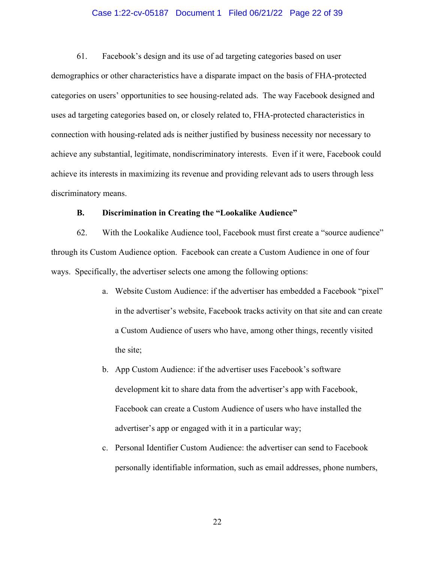## Case 1:22-cv-05187 Document 1 Filed 06/21/22 Page 22 of 39

61. Facebook's design and its use of ad targeting categories based on user demographics or other characteristics have a disparate impact on the basis of FHA-protected categories on users' opportunities to see housing-related ads. The way Facebook designed and uses ad targeting categories based on, or closely related to, FHA-protected characteristics in connection with housing-related ads is neither justified by business necessity nor necessary to achieve any substantial, legitimate, nondiscriminatory interests. Even if it were, Facebook could achieve its interests in maximizing its revenue and providing relevant ads to users through less discriminatory means.

## **B. Discrimination in Creating the "Lookalike Audience"**

62. With the Lookalike Audience tool, Facebook must first create a "source audience" through its Custom Audience option. Facebook can create a Custom Audience in one of four ways. Specifically, the advertiser selects one among the following options:

- a. Website Custom Audience: if the advertiser has embedded a Facebook "pixel" in the advertiser's website, Facebook tracks activity on that site and can create a Custom Audience of users who have, among other things, recently visited the site;
- b. App Custom Audience: if the advertiser uses Facebook's software development kit to share data from the advertiser's app with Facebook, Facebook can create a Custom Audience of users who have installed the advertiser's app or engaged with it in a particular way;
- c. Personal Identifier Custom Audience: the advertiser can send to Facebook personally identifiable information, such as email addresses, phone numbers,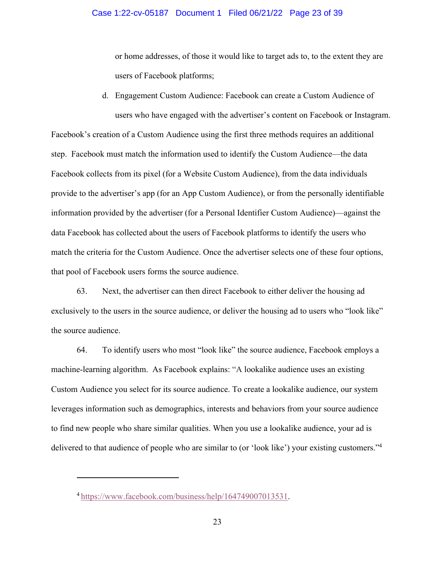or home addresses, of those it would like to target ads to, to the extent they are users of Facebook platforms;

d. Engagement Custom Audience: Facebook can create a Custom Audience of users who have engaged with the advertiser's content on Facebook or Instagram.

Facebook's creation of a Custom Audience using the first three methods requires an additional step. Facebook must match the information used to identify the Custom Audience—the data Facebook collects from its pixel (for a Website Custom Audience), from the data individuals provide to the advertiser's app (for an App Custom Audience), or from the personally identifiable information provided by the advertiser (for a Personal Identifier Custom Audience)—against the data Facebook has collected about the users of Facebook platforms to identify the users who match the criteria for the Custom Audience. Once the advertiser selects one of these four options, that pool of Facebook users forms the source audience.

63. Next, the advertiser can then direct Facebook to either deliver the housing ad exclusively to the users in the source audience, or deliver the housing ad to users who "look like" the source audience.

64. To identify users who most "look like" the source audience, Facebook employs a machine-learning algorithm. As Facebook explains: "A lookalike audience uses an existing Custom Audience you select for its source audience. To create a lookalike audience, our system leverages information such as demographics, interests and behaviors from your source audience to find new people who share similar qualities. When you use a lookalike audience, your ad is delivered to that audience of people who are similar to (or 'look like') your existing customers."4

<sup>4</sup> https://www.facebook.com/business/help/164749007013531.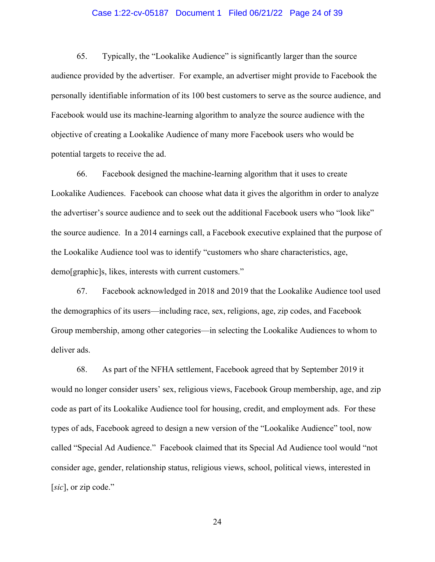## Case 1:22-cv-05187 Document 1 Filed 06/21/22 Page 24 of 39

65. Typically, the "Lookalike Audience" is significantly larger than the source audience provided by the advertiser. For example, an advertiser might provide to Facebook the personally identifiable information of its 100 best customers to serve as the source audience, and Facebook would use its machine-learning algorithm to analyze the source audience with the objective of creating a Lookalike Audience of many more Facebook users who would be potential targets to receive the ad.

66. Facebook designed the machine-learning algorithm that it uses to create Lookalike Audiences. Facebook can choose what data it gives the algorithm in order to analyze the advertiser's source audience and to seek out the additional Facebook users who "look like" the source audience. In a 2014 earnings call, a Facebook executive explained that the purpose of the Lookalike Audience tool was to identify "customers who share characteristics, age, demo[graphic]s, likes, interests with current customers."

67. Facebook acknowledged in 2018 and 2019 that the Lookalike Audience tool used the demographics of its users—including race, sex, religions, age, zip codes, and Facebook Group membership, among other categories—in selecting the Lookalike Audiences to whom to deliver ads.

68. As part of the NFHA settlement, Facebook agreed that by September 2019 it would no longer consider users' sex, religious views, Facebook Group membership, age, and zip code as part of its Lookalike Audience tool for housing, credit, and employment ads. For these types of ads, Facebook agreed to design a new version of the "Lookalike Audience" tool, now called "Special Ad Audience." Facebook claimed that its Special Ad Audience tool would "not consider age, gender, relationship status, religious views, school, political views, interested in [*sic*], or zip code."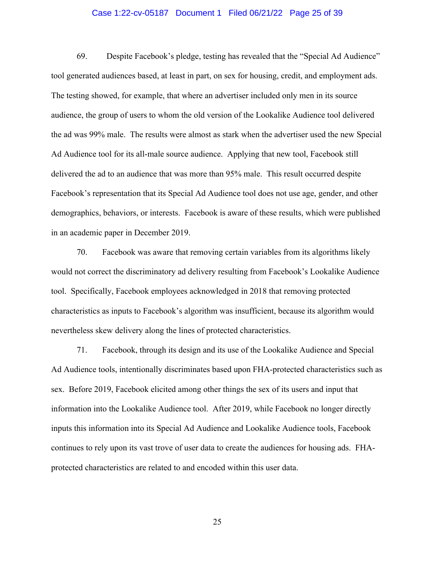## Case 1:22-cv-05187 Document 1 Filed 06/21/22 Page 25 of 39

69. Despite Facebook's pledge, testing has revealed that the "Special Ad Audience" tool generated audiences based, at least in part, on sex for housing, credit, and employment ads. The testing showed, for example, that where an advertiser included only men in its source audience, the group of users to whom the old version of the Lookalike Audience tool delivered the ad was 99% male. The results were almost as stark when the advertiser used the new Special Ad Audience tool for its all-male source audience. Applying that new tool, Facebook still delivered the ad to an audience that was more than 95% male. This result occurred despite Facebook's representation that its Special Ad Audience tool does not use age, gender, and other demographics, behaviors, or interests. Facebook is aware of these results, which were published in an academic paper in December 2019.

70. Facebook was aware that removing certain variables from its algorithms likely would not correct the discriminatory ad delivery resulting from Facebook's Lookalike Audience tool. Specifically, Facebook employees acknowledged in 2018 that removing protected characteristics as inputs to Facebook's algorithm was insufficient, because its algorithm would nevertheless skew delivery along the lines of protected characteristics.

71. Facebook, through its design and its use of the Lookalike Audience and Special Ad Audience tools, intentionally discriminates based upon FHA-protected characteristics such as sex. Before 2019, Facebook elicited among other things the sex of its users and input that information into the Lookalike Audience tool. After 2019, while Facebook no longer directly inputs this information into its Special Ad Audience and Lookalike Audience tools, Facebook continues to rely upon its vast trove of user data to create the audiences for housing ads. FHAprotected characteristics are related to and encoded within this user data.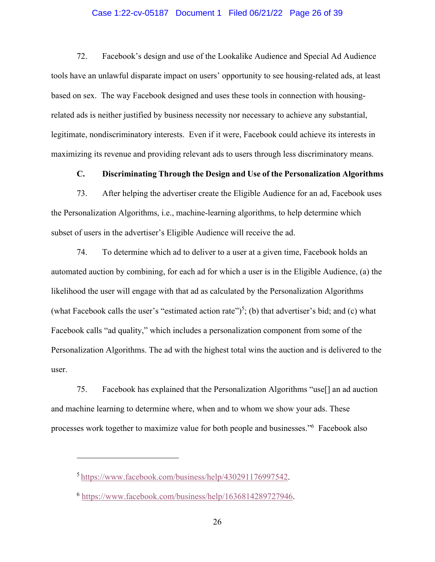## Case 1:22-cv-05187 Document 1 Filed 06/21/22 Page 26 of 39

72. Facebook's design and use of the Lookalike Audience and Special Ad Audience tools have an unlawful disparate impact on users' opportunity to see housing-related ads, at least based on sex. The way Facebook designed and uses these tools in connection with housingrelated ads is neither justified by business necessity nor necessary to achieve any substantial, legitimate, nondiscriminatory interests. Even if it were, Facebook could achieve its interests in maximizing its revenue and providing relevant ads to users through less discriminatory means.

**C. Discriminating Through the Design and Use of the Personalization Algorithms** 

73. After helping the advertiser create the Eligible Audience for an ad, Facebook uses the Personalization Algorithms, i.e., machine-learning algorithms, to help determine which subset of users in the advertiser's Eligible Audience will receive the ad.

74. To determine which ad to deliver to a user at a given time, Facebook holds an automated auction by combining, for each ad for which a user is in the Eligible Audience, (a) the likelihood the user will engage with that ad as calculated by the Personalization Algorithms (what Facebook calls the user's "estimated action rate")<sup>5</sup>; (b) that advertiser's bid; and (c) what Facebook calls "ad quality," which includes a personalization component from some of the Personalization Algorithms. The ad with the highest total wins the auction and is delivered to the user.

75. Facebook has explained that the Personalization Algorithms "use[] an ad auction and machine learning to determine where, when and to whom we show your ads. These processes work together to maximize value for both people and businesses."6 Facebook also

<sup>5</sup> https://www.facebook.com/business/help/430291176997542.

<sup>6</sup> https://www.facebook.com/business/help/1636814289727946.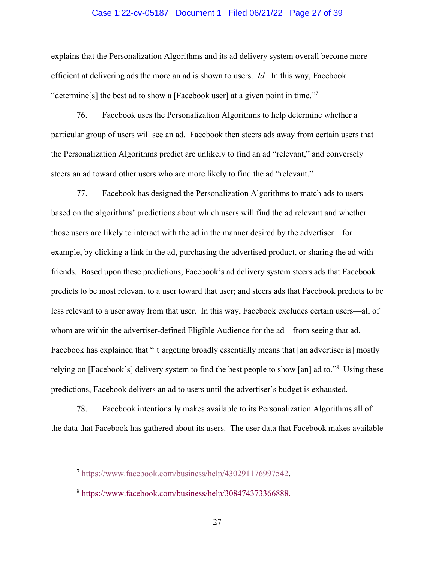#### Case 1:22-cv-05187 Document 1 Filed 06/21/22 Page 27 of 39

explains that the Personalization Algorithms and its ad delivery system overall become more efficient at delivering ads the more an ad is shown to users. *Id.* In this way, Facebook "determine[s] the best ad to show a [Facebook user] at a given point in time."<sup>7</sup>

76. Facebook uses the Personalization Algorithms to help determine whether a particular group of users will see an ad. Facebook then steers ads away from certain users that the Personalization Algorithms predict are unlikely to find an ad "relevant," and conversely steers an ad toward other users who are more likely to find the ad "relevant."

77. Facebook has designed the Personalization Algorithms to match ads to users based on the algorithms' predictions about which users will find the ad relevant and whether those users are likely to interact with the ad in the manner desired by the advertiser—for example, by clicking a link in the ad, purchasing the advertised product, or sharing the ad with friends. Based upon these predictions, Facebook's ad delivery system steers ads that Facebook predicts to be most relevant to a user toward that user; and steers ads that Facebook predicts to be less relevant to a user away from that user. In this way, Facebook excludes certain users—all of whom are within the advertiser-defined Eligible Audience for the ad—from seeing that ad. Facebook has explained that "[t]argeting broadly essentially means that [an advertiser is] mostly relying on [Facebook's] delivery system to find the best people to show [an] ad to."<sup>8</sup> Using these predictions, Facebook delivers an ad to users until the advertiser's budget is exhausted.

78. Facebook intentionally makes available to its Personalization Algorithms all of the data that Facebook has gathered about its users. The user data that Facebook makes available

<sup>7</sup> https://www.facebook.com/business/help/430291176997542.

<sup>8</sup> https://www.facebook.com/business/help/308474373366888.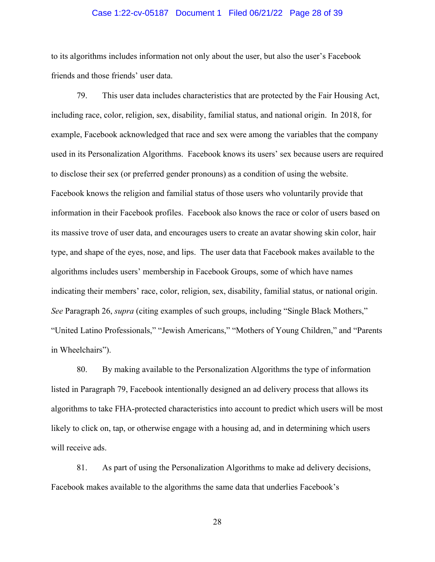## Case 1:22-cv-05187 Document 1 Filed 06/21/22 Page 28 of 39

to its algorithms includes information not only about the user, but also the user's Facebook friends and those friends' user data.

79. This user data includes characteristics that are protected by the Fair Housing Act, including race, color, religion, sex, disability, familial status, and national origin. In 2018, for example, Facebook acknowledged that race and sex were among the variables that the company used in its Personalization Algorithms. Facebook knows its users' sex because users are required to disclose their sex (or preferred gender pronouns) as a condition of using the website. Facebook knows the religion and familial status of those users who voluntarily provide that information in their Facebook profiles. Facebook also knows the race or color of users based on its massive trove of user data, and encourages users to create an avatar showing skin color, hair type, and shape of the eyes, nose, and lips. The user data that Facebook makes available to the algorithms includes users' membership in Facebook Groups, some of which have names indicating their members' race, color, religion, sex, disability, familial status, or national origin. *See* Paragraph 26, *supra* (citing examples of such groups, including "Single Black Mothers," "United Latino Professionals," "Jewish Americans," "Mothers of Young Children," and "Parents in Wheelchairs").

80. By making available to the Personalization Algorithms the type of information listed in Paragraph 79, Facebook intentionally designed an ad delivery process that allows its algorithms to take FHA-protected characteristics into account to predict which users will be most likely to click on, tap, or otherwise engage with a housing ad, and in determining which users will receive ads.

81. As part of using the Personalization Algorithms to make ad delivery decisions, Facebook makes available to the algorithms the same data that underlies Facebook's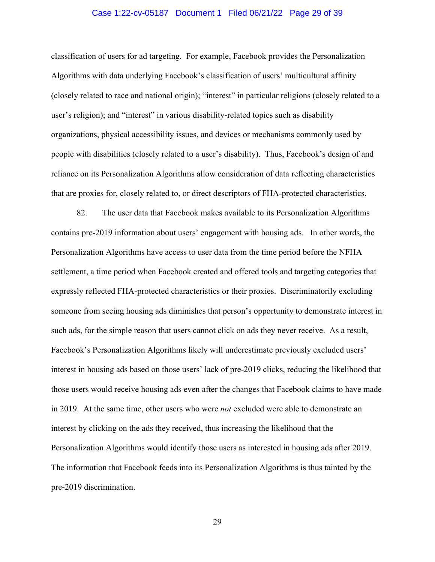## Case 1:22-cv-05187 Document 1 Filed 06/21/22 Page 29 of 39

classification of users for ad targeting. For example, Facebook provides the Personalization Algorithms with data underlying Facebook's classification of users' multicultural affinity (closely related to race and national origin); "interest" in particular religions (closely related to a user's religion); and "interest" in various disability-related topics such as disability organizations, physical accessibility issues, and devices or mechanisms commonly used by people with disabilities (closely related to a user's disability). Thus, Facebook's design of and reliance on its Personalization Algorithms allow consideration of data reflecting characteristics that are proxies for, closely related to, or direct descriptors of FHA-protected characteristics.

82. The user data that Facebook makes available to its Personalization Algorithms contains pre-2019 information about users' engagement with housing ads. In other words, the Personalization Algorithms have access to user data from the time period before the NFHA settlement, a time period when Facebook created and offered tools and targeting categories that expressly reflected FHA-protected characteristics or their proxies. Discriminatorily excluding someone from seeing housing ads diminishes that person's opportunity to demonstrate interest in such ads, for the simple reason that users cannot click on ads they never receive. As a result, Facebook's Personalization Algorithms likely will underestimate previously excluded users' interest in housing ads based on those users' lack of pre-2019 clicks, reducing the likelihood that those users would receive housing ads even after the changes that Facebook claims to have made in 2019. At the same time, other users who were *not* excluded were able to demonstrate an interest by clicking on the ads they received, thus increasing the likelihood that the Personalization Algorithms would identify those users as interested in housing ads after 2019. The information that Facebook feeds into its Personalization Algorithms is thus tainted by the pre-2019 discrimination.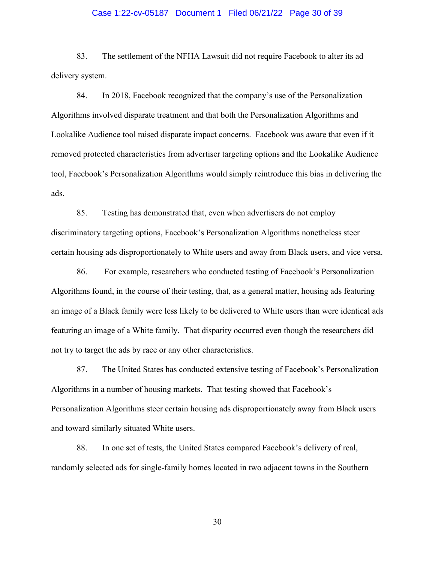## Case 1:22-cv-05187 Document 1 Filed 06/21/22 Page 30 of 39

83. The settlement of the NFHA Lawsuit did not require Facebook to alter its ad delivery system.

84. In 2018, Facebook recognized that the company's use of the Personalization Algorithms involved disparate treatment and that both the Personalization Algorithms and Lookalike Audience tool raised disparate impact concerns. Facebook was aware that even if it removed protected characteristics from advertiser targeting options and the Lookalike Audience tool, Facebook's Personalization Algorithms would simply reintroduce this bias in delivering the ads.

85. Testing has demonstrated that, even when advertisers do not employ discriminatory targeting options, Facebook's Personalization Algorithms nonetheless steer certain housing ads disproportionately to White users and away from Black users, and vice versa.

86. For example, researchers who conducted testing of Facebook's Personalization Algorithms found, in the course of their testing, that, as a general matter, housing ads featuring an image of a Black family were less likely to be delivered to White users than were identical ads featuring an image of a White family. That disparity occurred even though the researchers did not try to target the ads by race or any other characteristics.

87. The United States has conducted extensive testing of Facebook's Personalization Algorithms in a number of housing markets. That testing showed that Facebook's Personalization Algorithms steer certain housing ads disproportionately away from Black users and toward similarly situated White users.

88. In one set of tests, the United States compared Facebook's delivery of real, randomly selected ads for single-family homes located in two adjacent towns in the Southern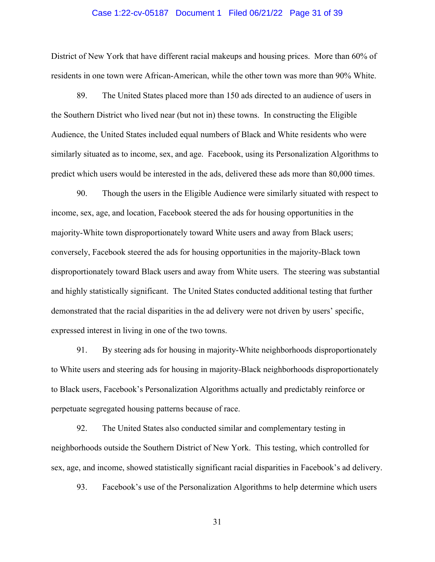#### Case 1:22-cv-05187 Document 1 Filed 06/21/22 Page 31 of 39

District of New York that have different racial makeups and housing prices. More than 60% of residents in one town were African-American, while the other town was more than 90% White.

89. The United States placed more than 150 ads directed to an audience of users in the Southern District who lived near (but not in) these towns. In constructing the Eligible Audience, the United States included equal numbers of Black and White residents who were similarly situated as to income, sex, and age. Facebook, using its Personalization Algorithms to predict which users would be interested in the ads, delivered these ads more than 80,000 times.

90. Though the users in the Eligible Audience were similarly situated with respect to income, sex, age, and location, Facebook steered the ads for housing opportunities in the majority-White town disproportionately toward White users and away from Black users; conversely, Facebook steered the ads for housing opportunities in the majority-Black town disproportionately toward Black users and away from White users. The steering was substantial and highly statistically significant. The United States conducted additional testing that further demonstrated that the racial disparities in the ad delivery were not driven by users' specific, expressed interest in living in one of the two towns.

91. By steering ads for housing in majority-White neighborhoods disproportionately to White users and steering ads for housing in majority-Black neighborhoods disproportionately to Black users, Facebook's Personalization Algorithms actually and predictably reinforce or perpetuate segregated housing patterns because of race.

92. The United States also conducted similar and complementary testing in neighborhoods outside the Southern District of New York. This testing, which controlled for sex, age, and income, showed statistically significant racial disparities in Facebook's ad delivery.

93. Facebook's use of the Personalization Algorithms to help determine which users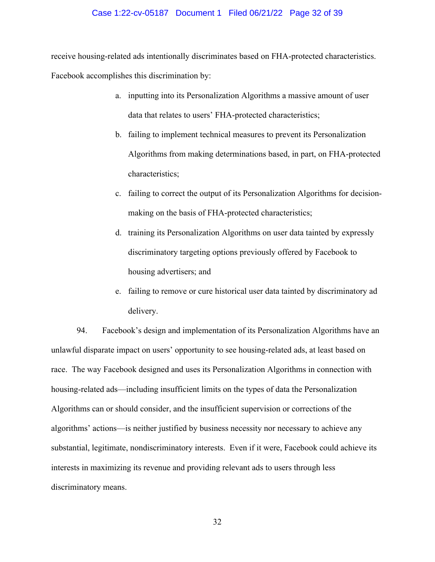#### Case 1:22-cv-05187 Document 1 Filed 06/21/22 Page 32 of 39

receive housing-related ads intentionally discriminates based on FHA-protected characteristics.

Facebook accomplishes this discrimination by:

- a. inputting into its Personalization Algorithms a massive amount of user data that relates to users' FHA-protected characteristics;
- b. failing to implement technical measures to prevent its Personalization Algorithms from making determinations based, in part, on FHA-protected characteristics;
- c. failing to correct the output of its Personalization Algorithms for decisionmaking on the basis of FHA-protected characteristics;
- d. training its Personalization Algorithms on user data tainted by expressly discriminatory targeting options previously offered by Facebook to housing advertisers; and
- e. failing to remove or cure historical user data tainted by discriminatory ad delivery.

94. Facebook's design and implementation of its Personalization Algorithms have an unlawful disparate impact on users' opportunity to see housing-related ads, at least based on race. The way Facebook designed and uses its Personalization Algorithms in connection with housing-related ads—including insufficient limits on the types of data the Personalization Algorithms can or should consider, and the insufficient supervision or corrections of the algorithms' actions—is neither justified by business necessity nor necessary to achieve any substantial, legitimate, nondiscriminatory interests. Even if it were, Facebook could achieve its interests in maximizing its revenue and providing relevant ads to users through less discriminatory means.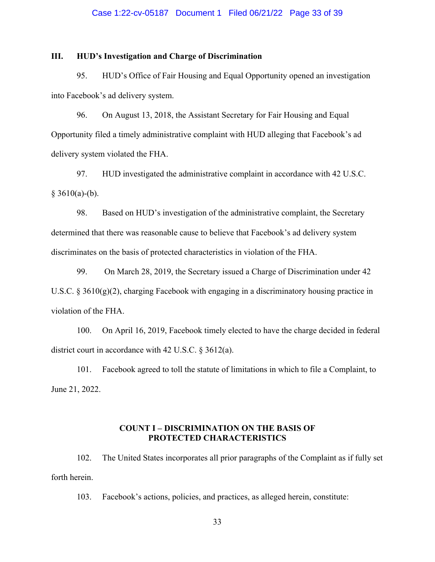## Case 1:22-cv-05187 Document 1 Filed 06/21/22 Page 33 of 39

## **III. HUD's Investigation and Charge of Discrimination**

95. HUD's Office of Fair Housing and Equal Opportunity opened an investigation into Facebook's ad delivery system.

96. On August 13, 2018, the Assistant Secretary for Fair Housing and Equal Opportunity filed a timely administrative complaint with HUD alleging that Facebook's ad delivery system violated the FHA.

97. HUD investigated the administrative complaint in accordance with 42 U.S.C.  $§ 3610(a)-(b).$ 

98. Based on HUD's investigation of the administrative complaint, the Secretary determined that there was reasonable cause to believe that Facebook's ad delivery system discriminates on the basis of protected characteristics in violation of the FHA.

99. On March 28, 2019, the Secretary issued a Charge of Discrimination under 42 U.S.C. § 3610(g)(2), charging Facebook with engaging in a discriminatory housing practice in violation of the FHA.

100. On April 16, 2019, Facebook timely elected to have the charge decided in federal district court in accordance with 42 U.S.C. § 3612(a).

101. Facebook agreed to toll the statute of limitations in which to file a Complaint, to June 21, 2022.

## **COUNT I – DISCRIMINATION ON THE BASIS OF PROTECTED CHARACTERISTICS**

102. The United States incorporates all prior paragraphs of the Complaint as if fully set forth herein.

103. Facebook's actions, policies, and practices, as alleged herein, constitute: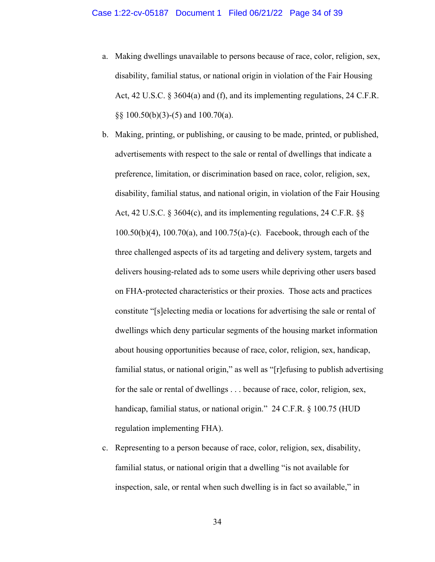- a. Making dwellings unavailable to persons because of race, color, religion, sex, disability, familial status, or national origin in violation of the Fair Housing Act, 42 U.S.C. § 3604(a) and (f), and its implementing regulations, 24 C.F.R. §§ 100.50(b)(3)-(5) and 100.70(a).
- b. Making, printing, or publishing, or causing to be made, printed, or published, advertisements with respect to the sale or rental of dwellings that indicate a preference, limitation, or discrimination based on race, color, religion, sex, disability, familial status, and national origin, in violation of the Fair Housing Act, 42 U.S.C. § 3604(c), and its implementing regulations, 24 C.F.R. §§ 100.50(b)(4), 100.70(a), and 100.75(a)-(c). Facebook, through each of the three challenged aspects of its ad targeting and delivery system, targets and delivers housing-related ads to some users while depriving other users based on FHA-protected characteristics or their proxies. Those acts and practices constitute "[s]electing media or locations for advertising the sale or rental of dwellings which deny particular segments of the housing market information about housing opportunities because of race, color, religion, sex, handicap, familial status, or national origin," as well as "[r]efusing to publish advertising for the sale or rental of dwellings . . . because of race, color, religion, sex, handicap, familial status, or national origin." 24 C.F.R. § 100.75 (HUD regulation implementing FHA).
- c. Representing to a person because of race, color, religion, sex, disability, familial status, or national origin that a dwelling "is not available for inspection, sale, or rental when such dwelling is in fact so available," in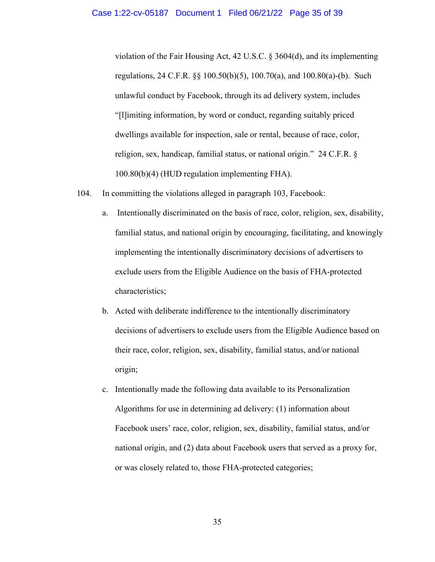violation of the Fair Housing Act, 42 U.S.C. § 3604(d), and its implementing regulations, 24 C.F.R. §§ 100.50(b)(5), 100.70(a), and 100.80(a)-(b). Such unlawful conduct by Facebook, through its ad delivery system, includes "[l]imiting information, by word or conduct, regarding suitably priced dwellings available for inspection, sale or rental, because of race, color, religion, sex, handicap, familial status, or national origin." 24 C.F.R. § 100.80(b)(4) (HUD regulation implementing FHA).

- 104. In committing the violations alleged in paragraph 103, Facebook:
	- a. Intentionally discriminated on the basis of race, color, religion, sex, disability, familial status, and national origin by encouraging, facilitating, and knowingly implementing the intentionally discriminatory decisions of advertisers to exclude users from the Eligible Audience on the basis of FHA-protected characteristics;
	- b. Acted with deliberate indifference to the intentionally discriminatory decisions of advertisers to exclude users from the Eligible Audience based on their race, color, religion, sex, disability, familial status, and/or national origin;
	- c. Intentionally made the following data available to its Personalization Algorithms for use in determining ad delivery: (1) information about Facebook users' race, color, religion, sex, disability, familial status, and/or national origin, and (2) data about Facebook users that served as a proxy for, or was closely related to, those FHA-protected categories;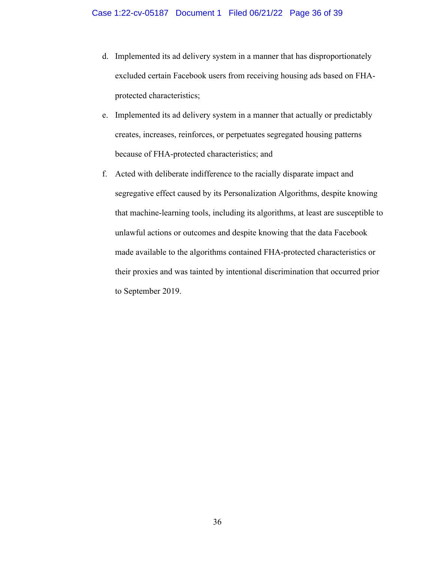- d. Implemented its ad delivery system in a manner that has disproportionately excluded certain Facebook users from receiving housing ads based on FHAprotected characteristics;
- e. Implemented its ad delivery system in a manner that actually or predictably creates, increases, reinforces, or perpetuates segregated housing patterns because of FHA-protected characteristics; and
- f. Acted with deliberate indifference to the racially disparate impact and segregative effect caused by its Personalization Algorithms, despite knowing that machine-learning tools, including its algorithms, at least are susceptible to unlawful actions or outcomes and despite knowing that the data Facebook made available to the algorithms contained FHA-protected characteristics or their proxies and was tainted by intentional discrimination that occurred prior to September 2019.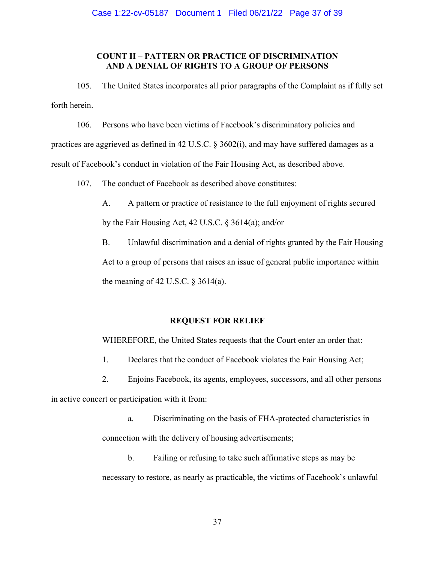# **COUNT II – PATTERN OR PRACTICE OF DISCRIMINATION AND A DENIAL OF RIGHTS TO A GROUP OF PERSONS**

105. The United States incorporates all prior paragraphs of the Complaint as if fully set forth herein.

106. Persons who have been victims of Facebook's discriminatory policies and practices are aggrieved as defined in 42 U.S.C. § 3602(i), and may have suffered damages as a result of Facebook's conduct in violation of the Fair Housing Act, as described above.

107. The conduct of Facebook as described above constitutes:

 A. A pattern or practice of resistance to the full enjoyment of rights secured by the Fair Housing Act, 42 U.S.C. § 3614(a); and/or

 B. Unlawful discrimination and a denial of rights granted by the Fair Housing Act to a group of persons that raises an issue of general public importance within the meaning of 42 U.S.C.  $\S$  3614(a).

## **REQUEST FOR RELIEF**

WHEREFORE, the United States requests that the Court enter an order that:

- 1. Declares that the conduct of Facebook violates the Fair Housing Act;
- 2. Enjoins Facebook, its agents, employees, successors, and all other persons

in active concert or participation with it from:

a. Discriminating on the basis of FHA-protected characteristics in connection with the delivery of housing advertisements;

b. Failing or refusing to take such affirmative steps as may be necessary to restore, as nearly as practicable, the victims of Facebook's unlawful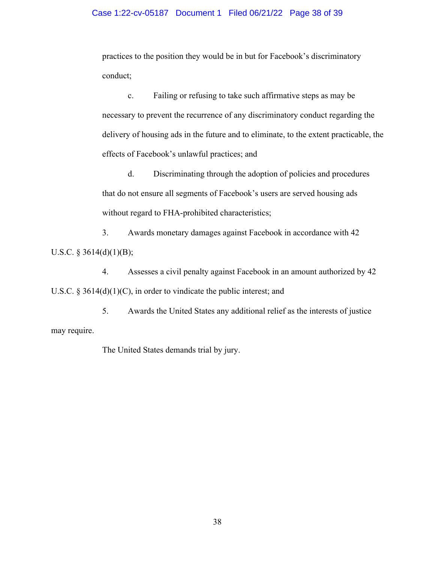## Case 1:22-cv-05187 Document 1 Filed 06/21/22 Page 38 of 39

practices to the position they would be in but for Facebook's discriminatory conduct;

c. Failing or refusing to take such affirmative steps as may be necessary to prevent the recurrence of any discriminatory conduct regarding the delivery of housing ads in the future and to eliminate, to the extent practicable, the effects of Facebook's unlawful practices; and

d. Discriminating through the adoption of policies and procedures that do not ensure all segments of Facebook's users are served housing ads without regard to FHA-prohibited characteristics;

 3. Awards monetary damages against Facebook in accordance with 42 U.S.C.  $\S$  3614(d)(1)(B);

 4. Assesses a civil penalty against Facebook in an amount authorized by 42 U.S.C.  $\S 3614(d)(1)(C)$ , in order to vindicate the public interest; and

 5. Awards the United States any additional relief as the interests of justice may require.

The United States demands trial by jury.